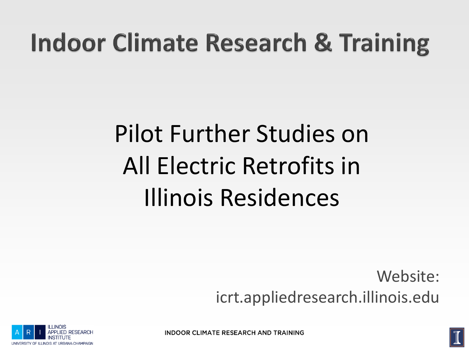#### **Indoor Climate Research & Training**

### Pilot Further Studies on All Electric Retrofits in Illinois Residences

Website: icrt.appliedresearch.illinois.edu



**INDOOR CLIMATE RESEARCH AND TRAINING** 

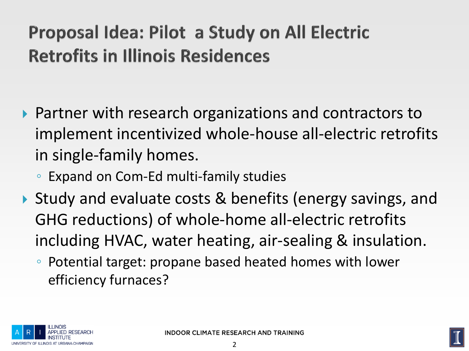#### Proposal Idea: Pilot a Study on All Electric **Retrofits in Illinois Residences**

- ▶ Partner with research organizations and contractors to implement incentivized whole-house all-electric retrofits in single-family homes.
	- Expand on Com-Ed multi-family studies
- ▶ Study and evaluate costs & benefits (energy savings, and GHG reductions) of whole-home all-electric retrofits including HVAC, water heating, air-sealing & insulation.
	- Potential target: propane based heated homes with lower efficiency furnaces?



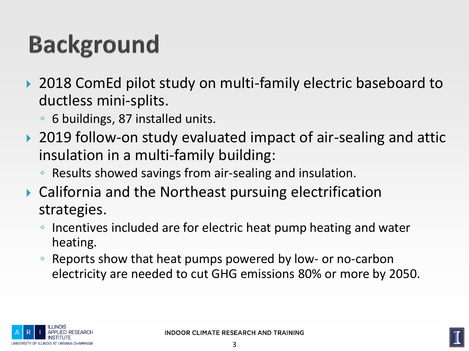## **Background**

- ▶ 2018 ComEd pilot study on multi-family electric baseboard to ductless mini-splits.
	- 6 buildings, 87 installed units.
- ▶ 2019 follow-on study evaluated impact of air-sealing and attic insulation in a multi-family building:
	- Results showed savings from air-sealing and insulation.
- California and the Northeast pursuing electrification strategies.
	- Incentives included are for electric heat pump heating and water heating.
	- Reports show that heat pumps powered by low- or no-carbon electricity are needed to cut GHG emissions 80% or more by 2050.



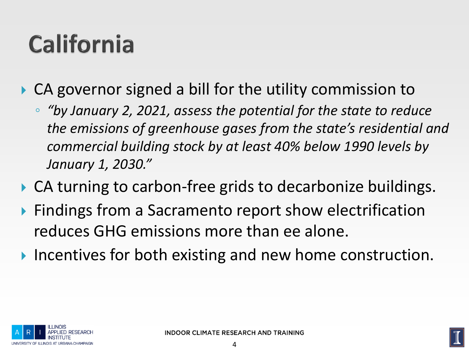#### **California**

- ▶ CA governor signed a bill for the utility commission to
	- *"by January 2, 2021, assess the potential for the state to reduce the emissions of greenhouse gases from the state's residential and commercial building stock by at least 40% below 1990 levels by January 1, 2030."*
- ▶ CA turning to carbon-free grids to decarbonize buildings.
- ▶ Findings from a Sacramento report show electrification reduces GHG emissions more than ee alone.
- Incentives for both existing and new home construction.



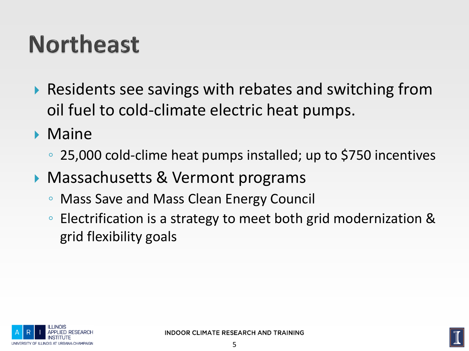#### **Northeast**

- ▶ Residents see savings with rebates and switching from oil fuel to cold-climate electric heat pumps.
- **Maine** 
	- 25,000 cold-clime heat pumps installed; up to \$750 incentives
- Massachusetts & Vermont programs
	- Mass Save and Mass Clean Energy Council
	- Electrification is a strategy to meet both grid modernization & grid flexibility goals



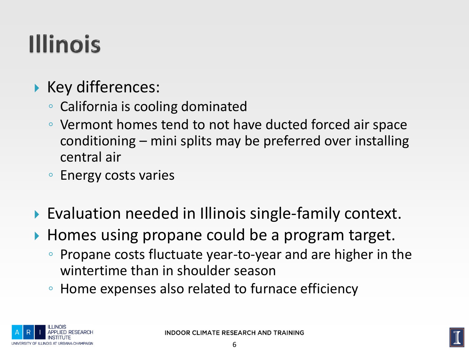## **Illinois**

- ▶ Key differences:
	- California is cooling dominated
	- Vermont homes tend to not have ducted forced air space conditioning – mini splits may be preferred over installing central air
	- Energy costs varies
- ▶ Evaluation needed in Illinois single-family context.
- ▶ Homes using propane could be a program target.
	- Propane costs fluctuate year-to-year and are higher in the wintertime than in shoulder season
	- Home expenses also related to furnace efficiency



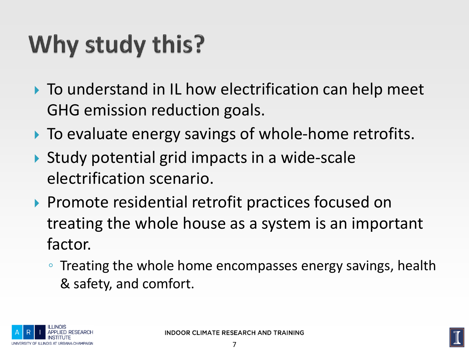# Why study this?

- ▶ To understand in IL how electrification can help meet GHG emission reduction goals.
- ▶ To evaluate energy savings of whole-home retrofits.
- Study potential grid impacts in a wide-scale electrification scenario.
- ▶ Promote residential retrofit practices focused on treating the whole house as a system is an important factor.
	- Treating the whole home encompasses energy savings, health & safety, and comfort.

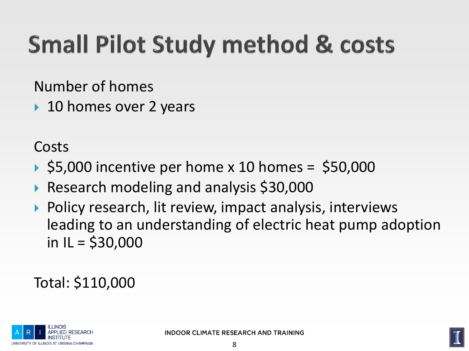# **Small Pilot Study method & costs**

Number of homes

▶ 10 homes over 2 years

Costs

- $\triangleright$  \$5,000 incentive per home x 10 homes = \$50,000
- Research modeling and analysis \$30,000
- ▶ Policy research, lit review, impact analysis, interviews leading to an understanding of electric heat pump adoption in  $IL = $30,000$

Total: \$110,000



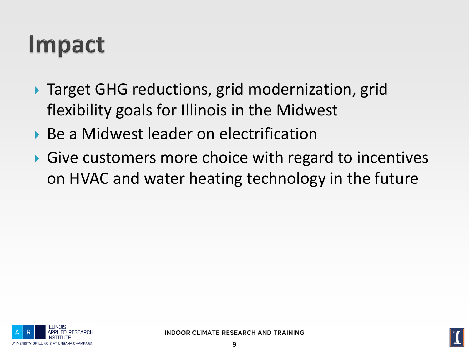#### **Impact**

- ▶ Target GHG reductions, grid modernization, grid flexibility goals for Illinois in the Midwest
- ▶ Be a Midwest leader on electrification
- Give customers more choice with regard to incentives on HVAC and water heating technology in the future



**INDOOR CLIMATE RESEARCH AND TRAINING** 

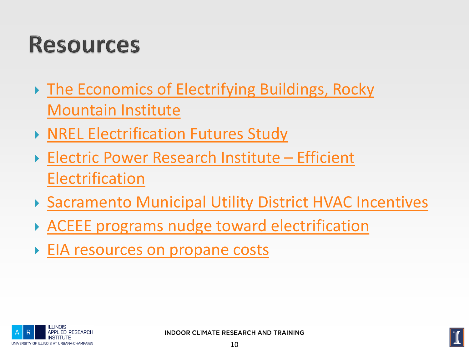#### **Resources**

- ▶ The Economics of Electrifying Buildings, Rocky Mountain Institute
- ▶ [NREL Electrification Futures Study](https://www.nrel.gov/docs/fy18osti/70485.pdf)
- ▶ [Electric Power Research Institute](https://www.epri.com/pages/sa/efficient-electrification?lang=en-US)  Efficient **Electrification**
- ▶ [Sacramento Municipal Utility District HVAC Incentives](https://www.smud.org/en/Business-Solutions-and-Rebates/Business-Rebates/HVAC)
- [ACEEE programs nudge toward electrification](https://www.aceee.org/blog/2018/08/new-programs-nudge-homeowners-switch)
- **[EIA resources on propane costs](https://www.eia.gov/petroleum/heatingoilpropane/)**